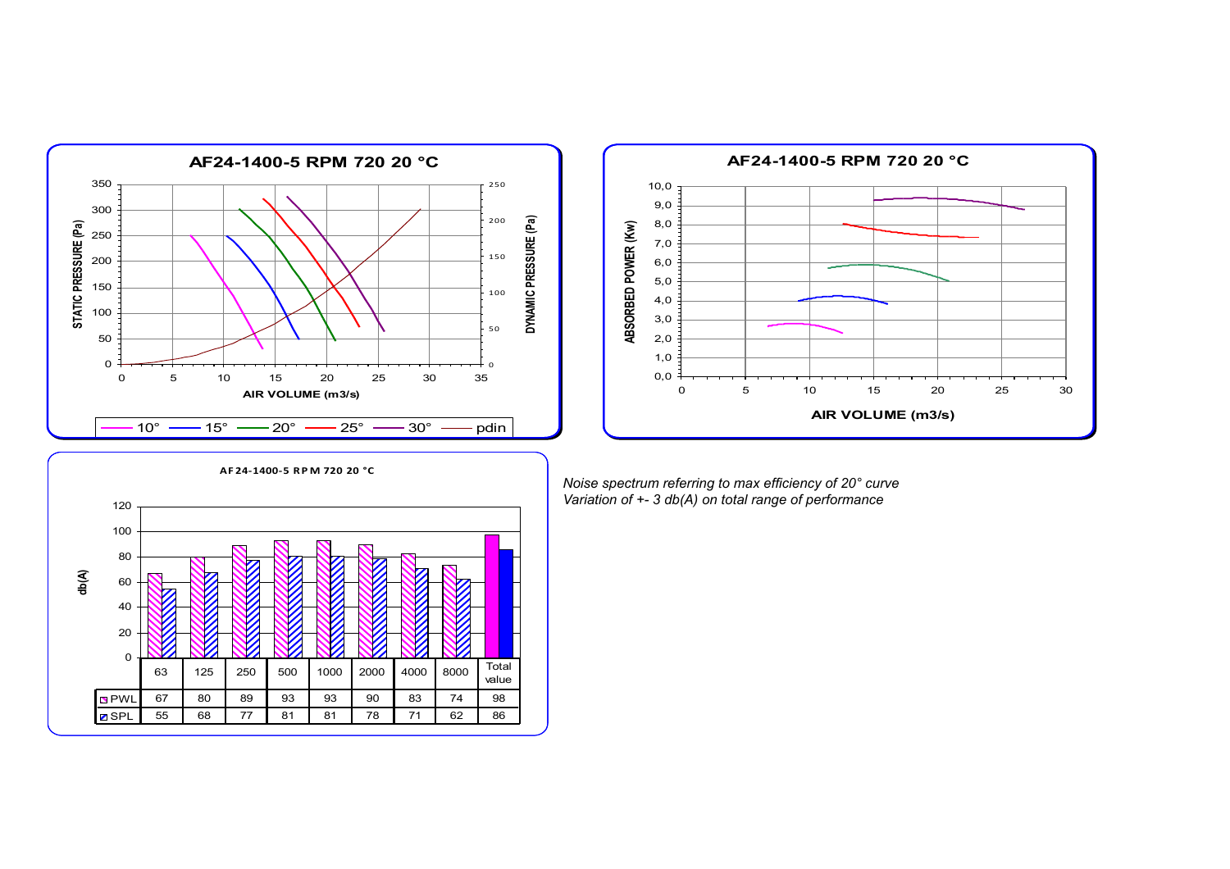



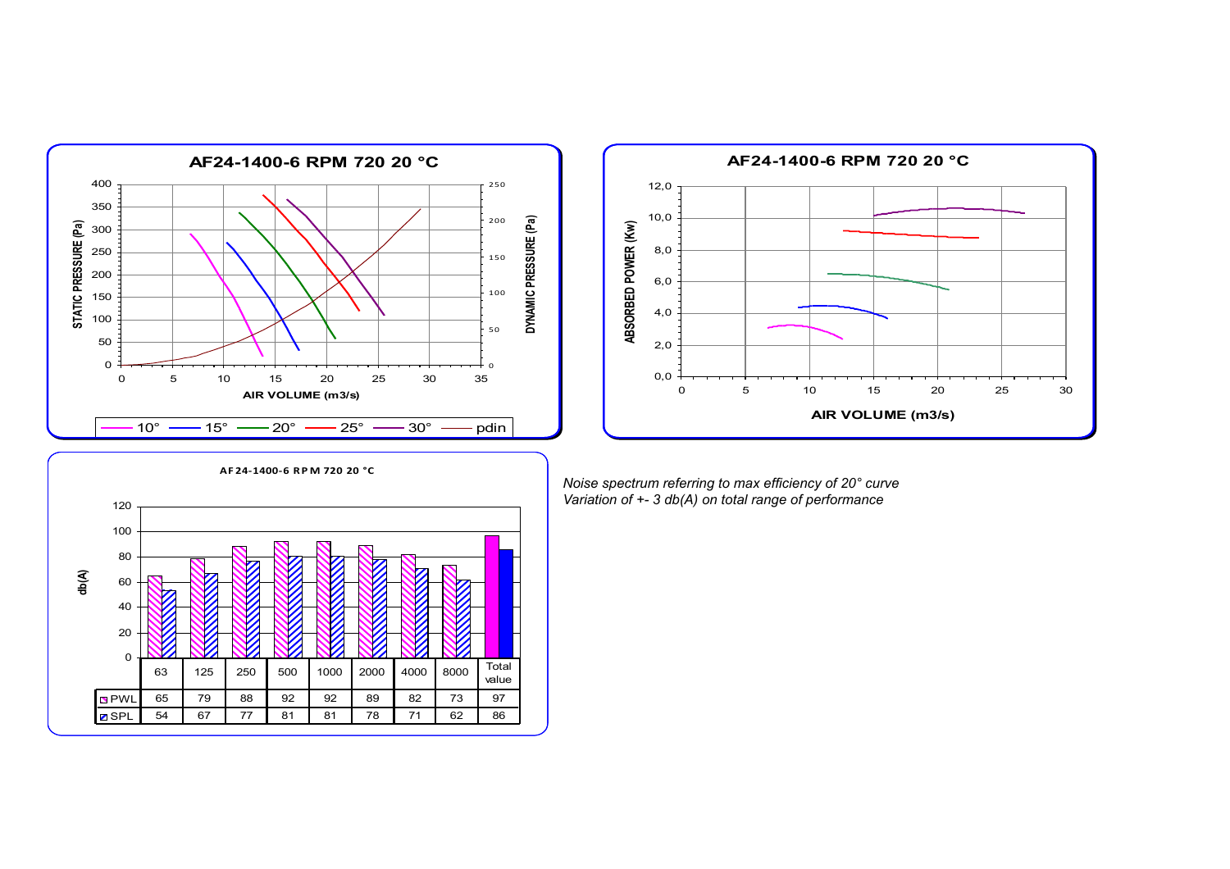



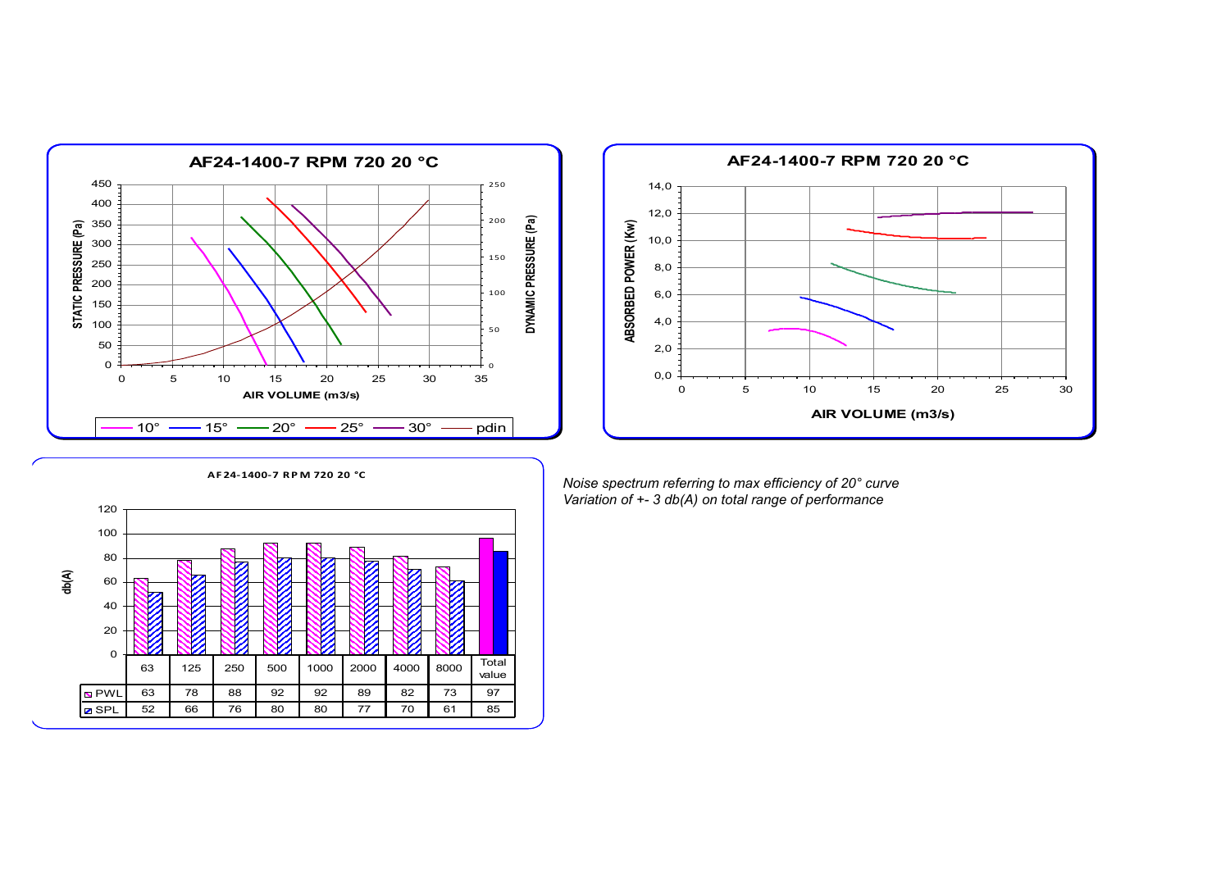



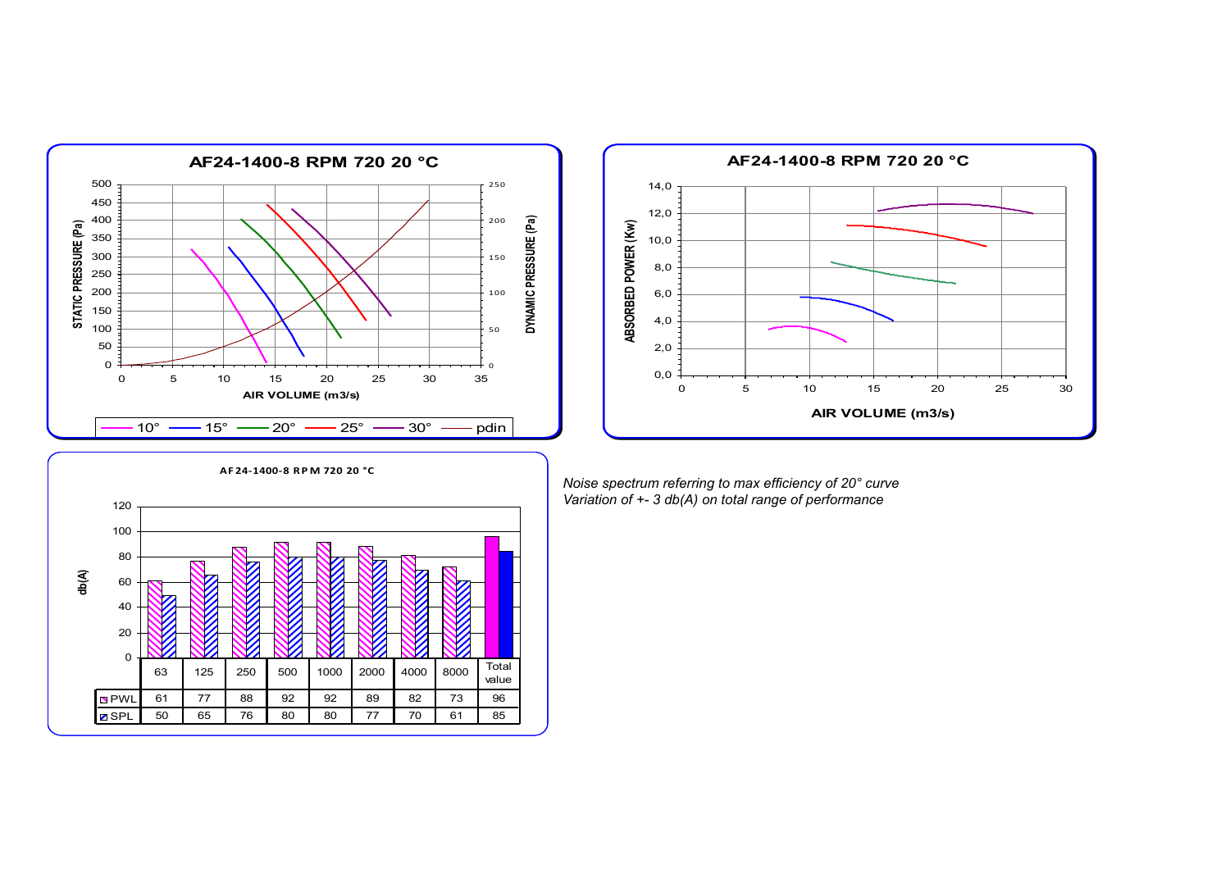